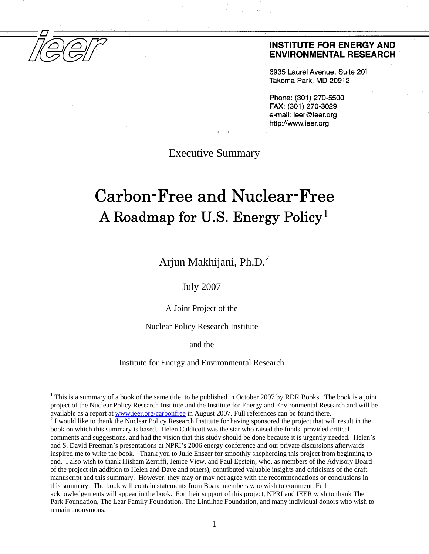$\overline{a}$ 

#### **INSTITUTE FOR ENERGY AND ENVIRONMENTAL RESEARCH**

6935 Laurel Avenue, Suite 201 Takoma Park, MD 20912

Phone: (301) 270-5500 FAX: (301) 270-3029 e-mail: ieer@ieer.org http://www.ieer.org

Executive Summary

Carbon-Free and Nuclear-Free – Executive Summary

# Carbon-Free and Nuclear-Free A Roadmap for U.S. Energy Policy[1](#page-0-0)

Arjun Makhijani, Ph.D. $<sup>2</sup>$  $<sup>2</sup>$  $<sup>2</sup>$ </sup>

July 2007

A Joint Project of the

Nuclear Policy Research Institute

and the

Institute for Energy and Environmental Research

<span id="page-0-0"></span><sup>&</sup>lt;sup>1</sup> This is a summary of a book of the same title, to be published in October 2007 by RDR Books. The book is a joint project of the Nuclear Policy Research Institute and the Institute for Energy and Environmental Research and will be available as a report at [www.ieer.org/carbonfree](http://www.ieer.org/carbonfree) in August 2007. Full references can be found there. <sup>2</sup>

<span id="page-0-1"></span><sup>&</sup>lt;sup>2</sup> I would like to thank the Nuclear Policy Research Institute for having sponsored the project that will result in the book on which this summary is based. Helen Caldicott was the star who raised the funds, provided critical comments and suggestions, and had the vision that this study should be done because it is urgently needed. Helen's and S. David Freeman's presentations at NPRI's 2006 energy conference and our private discussions afterwards inspired me to write the book. Thank you to Julie Enszer for smoothly shepherding this project from beginning to end. I also wish to thank Hisham Zerriffi, Jenice View, and Paul Epstein, who, as members of the Advisory Board of the project (in addition to Helen and Dave and others), contributed valuable insights and criticisms of the draft manuscript and this summary. However, they may or may not agree with the recommendations or conclusions in this summary. The book will contain statements from Board members who wish to comment. Full acknowledgements will appear in the book. For their support of this project, NPRI and IEER wish to thank The Park Foundation, The Lear Family Foundation, The Lintilhac Foundation, and many individual donors who wish to remain anonymous.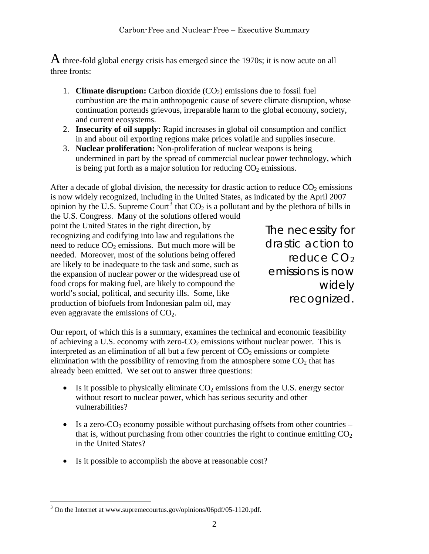$\overline{A}$  three-fold global energy crisis has emerged since the 1970s; it is now acute on all three fronts:

- 1. **Climate disruption:** Carbon dioxide (CO<sub>2</sub>) emissions due to fossil fuel combustion are the main anthropogenic cause of severe climate disruption, whose continuation portends grievous, irreparable harm to the global economy, society, and current ecosystems.
- 2. **Insecurity of oil supply:** Rapid increases in global oil consumption and conflict in and about oil exporting regions make prices volatile and supplies insecure.
- 3. **Nuclear proliferation:** Non-proliferation of nuclear weapons is being undermined in part by the spread of commercial nuclear power technology, which is being put forth as a major solution for reducing  $CO<sub>2</sub>$  emissions.

After a decade of global division, the necessity for drastic action to reduce  $CO<sub>2</sub>$  emissions is now widely recognized, including in the United States, as indicated by the April 2007 opinion by the U.S. Supreme Court<sup>[3](#page-1-0)</sup> that  $CO_2$  is a pollutant and by the plethora of bills in the U.S. Congress. Many of the solutions offered would

point the United States in the right direction, by recognizing and codifying into law and regulations the need to reduce  $CO<sub>2</sub>$  emissions. But much more will be needed. Moreover, most of the solutions being offered are likely to be inadequate to the task and some, such as the expansion of nuclear power or the widespread use of food crops for making fuel, are likely to compound the world's social, political, and security ills. Some, like production of biofuels from Indonesian palm oil, may even aggravate the emissions of  $CO<sub>2</sub>$ .

The necessity for drastic action to reduce CO<sub>2</sub> emissions is now widely recognized.

Our report, of which this is a summary, examines the technical and economic feasibility of achieving a U.S. economy with zero- $CO<sub>2</sub>$  emissions without nuclear power. This is interpreted as an elimination of all but a few percent of  $CO<sub>2</sub>$  emissions or complete elimination with the possibility of removing from the atmosphere some  $CO<sub>2</sub>$  that has already been emitted. We set out to answer three questions:

- Is it possible to physically eliminate  $CO<sub>2</sub>$  emissions from the U.S. energy sector without resort to nuclear power, which has serious security and other vulnerabilities?
- Is a zero-CO<sub>2</sub> economy possible without purchasing offsets from other countries that is, without purchasing from other countries the right to continue emitting  $CO<sub>2</sub>$ in the United States?
- Is it possible to accomplish the above at reasonable cost?

<span id="page-1-0"></span> $\overline{a}$ <sup>3</sup> On the Internet at www.supremecourtus.gov/opinions/06pdf/05-1120.pdf.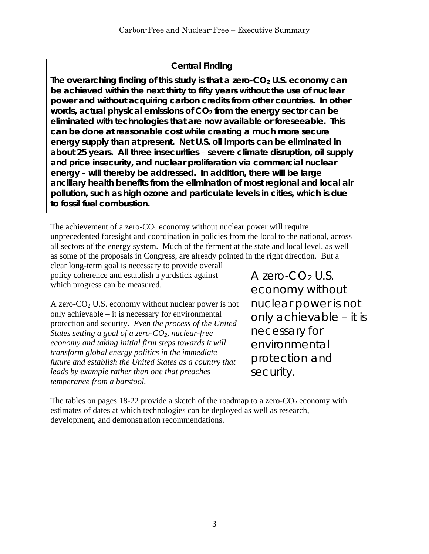#### **Central Finding**

The overarching finding of this study is that a zero-CO<sub>2</sub> U.S. economy can **be achieved within the next thirty to fifty years without the use of nuclear power and without acquiring carbon credits from other countries. In other**  words, actual physical emissions of CO<sub>2</sub> from the energy sector can be **eliminated with technologies that are now available or foreseeable. This can be done at reasonable cost while creating a much more secure energy supply than at present. Net U.S. oil imports can be eliminated in about 25 years. All three insecurities** – **severe climate disruption, oil supply and price insecurity, and nuclear proliferation via commercial nuclear energy** – **will thereby be addressed. In addition, there will be large ancillary health benefits from the elimination of most regional and local air pollution, such as high ozone and particulate levels in cities, which is due to fossil fuel combustion.** 

The achievement of a zero- $CO<sub>2</sub>$  economy without nuclear power will require unprecedented foresight and coordination in policies from the local to the national, across all sectors of the energy system. Much of the ferment at the state and local level, as well as some of the proposals in Congress, are already pointed in the right direction. But a

clear long-term goal is necessary to provide overall policy coherence and establish a yardstick against which progress can be measured.

A zero- $CO<sub>2</sub>$  U.S. economy without nuclear power is not only achievable – it is necessary for environmental protection and security. *Even the process of the United States setting a goal of a zero-CO2, nuclear-free economy and taking initial firm steps towards it will transform global energy politics in the immediate future and establish the United States as a country that leads by example rather than one that preaches temperance from a barstool.* 

A zero-CO $2$  U.S. economy without nuclear power is not only achievable – it is necessary for environmental protection and security.

The tables on pages 18-22 provide a sketch of the roadmap to a zero- $CO<sub>2</sub>$  economy with estimates of dates at which technologies can be deployed as well as research, development, and demonstration recommendations.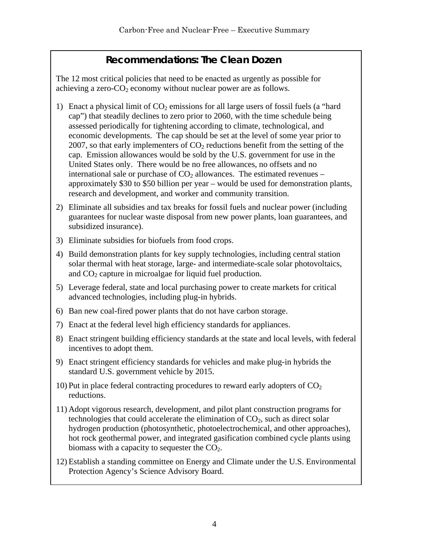## **Recommendations: The Clean Dozen**

The 12 most critical policies that need to be enacted as urgently as possible for achieving a zero- $CO<sub>2</sub>$  economy without nuclear power are as follows.

- 1) Enact a physical limit of  $CO<sub>2</sub>$  emissions for all large users of fossil fuels (a "hard cap") that steadily declines to zero prior to 2060, with the time schedule being assessed periodically for tightening according to climate, technological, and economic developments. The cap should be set at the level of some year prior to 2007, so that early implementers of  $CO<sub>2</sub>$  reductions benefit from the setting of the cap. Emission allowances would be sold by the U.S. government for use in the United States only. There would be no free allowances, no offsets and no international sale or purchase of  $CO<sub>2</sub>$  allowances. The estimated revenues – approximately \$30 to \$50 billion per year – would be used for demonstration plants, research and development, and worker and community transition.
- 2) Eliminate all subsidies and tax breaks for fossil fuels and nuclear power (including guarantees for nuclear waste disposal from new power plants, loan guarantees, and subsidized insurance).
- 3) Eliminate subsidies for biofuels from food crops.
- 4) Build demonstration plants for key supply technologies, including central station solar thermal with heat storage, large- and intermediate-scale solar photovoltaics, and  $CO<sub>2</sub>$  capture in microalgae for liquid fuel production.
- 5) Leverage federal, state and local purchasing power to create markets for critical advanced technologies, including plug-in hybrids.
- 6) Ban new coal-fired power plants that do not have carbon storage.
- 7) Enact at the federal level high efficiency standards for appliances.
- 8) Enact stringent building efficiency standards at the state and local levels, with federal incentives to adopt them.
- 9) Enact stringent efficiency standards for vehicles and make plug-in hybrids the standard U.S. government vehicle by 2015.
- 10) Put in place federal contracting procedures to reward early adopters of  $CO<sub>2</sub>$ reductions.
- 11) Adopt vigorous research, development, and pilot plant construction programs for technologies that could accelerate the elimination of  $CO<sub>2</sub>$ , such as direct solar hydrogen production (photosynthetic, photoelectrochemical, and other approaches), hot rock geothermal power, and integrated gasification combined cycle plants using biomass with a capacity to sequester the  $CO<sub>2</sub>$ .
- 12) Establish a standing committee on Energy and Climate under the U.S. Environmental Protection Agency's Science Advisory Board.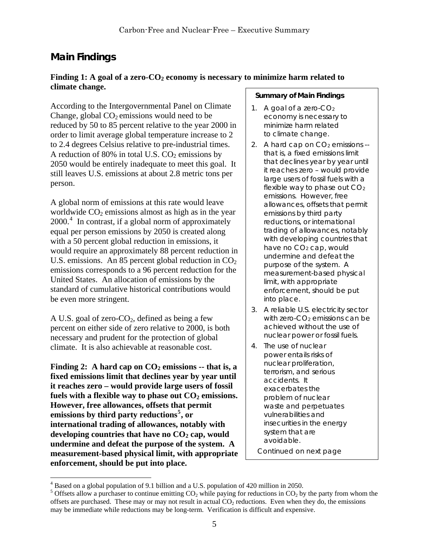## <span id="page-4-0"></span>**Main Findings**

#### Finding 1: A goal of a zero-CO<sub>2</sub> economy is necessary to minimize harm related to **climate change.**

According to the Intergovernmental Panel on Climate Change, global  $CO<sub>2</sub>$  emissions would need to be reduced by 50 to 85 percent relative to the year 2000 in order to limit average global temperature increase to 2 to 2.4 degrees Celsius relative to pre-industrial times. A reduction of 80% in total U.S.  $CO<sub>2</sub>$  emissions by 2050 would be entirely inadequate to meet this goal. It still leaves U.S. emissions at about 2.8 metric tons per person.

A global norm of emissions at this rate would leave worldwide  $CO<sub>2</sub>$  emissions almost as high as in the year 2000.[4](#page-4-0) In contrast, if a global norm of approximately equal per person emissions by 2050 is created along with a 50 percent global reduction in emissions, it would require an approximately 88 percent reduction in U.S. emissions. An 85 percent global reduction in  $CO<sub>2</sub>$ emissions corresponds to a 96 percent reduction for the United States. An allocation of emissions by the standard of cumulative historical contributions would be even more stringent.

A U.S. goal of zero- $CO<sub>2</sub>$ , defined as being a few percent on either side of zero relative to 2000, is both necessary and prudent for the protection of global climate. It is also achievable at reasonable cost.

Finding 2: A hard cap on  $CO<sub>2</sub>$  emissions -- that is, a **fixed emissions limit that declines year by year until it reaches zero – would provide large users of fossil**  fuels with a flexible way to phase out  $CO<sub>2</sub>$  emissions. **However, free allowances, offsets that permit emissions by third party reductions[5](#page-4-0) , or international trading of allowances, notably with**  developing countries that have no  $CO<sub>2</sub>$  cap, would **undermine and defeat the purpose of the system. A measurement-based physical limit, with appropriate enforcement, should be put into place.** 

#### **Summary of Main Findings**

- 1. A goal of a zero- $CO<sub>2</sub>$ economy is necessary to minimize harm related to climate change.
- 2. A hard cap on  $CO<sub>2</sub>$  emissions  $$ that is, a fixed emissions limit that declines year by year until it reaches zero – would provide large users of fossil fuels with a flexible way to phase out  $CO<sub>2</sub>$ emissions. However, free allowances, offsets that permit emissions by third party reductions, or international trading of allowances, notably with developing countries that have no  $CO<sub>2</sub>$  cap, would undermine and defeat the purpose of the system. A measurement-based physical limit, with appropriate enforcement, should be put into place.
- 3. A reliable U.S. electricity sector with zero- $CO<sub>2</sub>$  emissions can be achieved without the use of nuclear power or fossil fuels.
- 4. The use of nuclear power entails risks of nuclear proliferation, terrorism, and serious accidents. It exacerbates the problem of nuclear waste and perpetuates vulnerabilities and insecurities in the energy system that are avoidable.

*Continued on next page* 

 $\overline{a}$ <sup>4</sup> Based on a global population of 9.1 billion and a U.S. population of 420 million in 2050.

<sup>&</sup>lt;sup>5</sup> Offsets allow a purchaser to continue emitting  $CO_2$  while paying for reductions in  $CO_2$  by the party from whom the offsets are purchased. These may or may not result in actual  $CO<sub>2</sub>$  reductions. Even when they do, the emissions may be immediate while reductions may be long-term. Verification is difficult and expensive.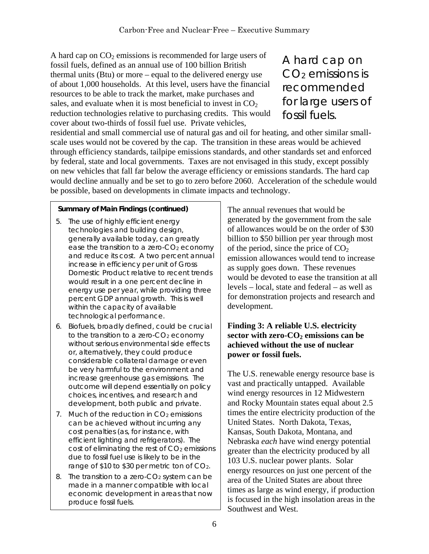A hard cap on  $CO<sub>2</sub>$  emissions is recommended for large users of fossil fuels, defined as an annual use of 100 billion British thermal units (Btu) or more – equal to the delivered energy use of about 1,000 households. At this level, users have the financial resources to be able to track the market, make purchases and sales, and evaluate when it is most beneficial to invest in  $CO<sub>2</sub>$ reduction technologies relative to purchasing credits. This would cover about two-thirds of fossil fuel use. Private vehicles,

A hard cap on CO<sub>2</sub> emissions is recommended for large users of fossil fuels.

residential and small commercial use of natural gas and oil for heating, and other similar smallscale uses would not be covered by the cap. The transition in these areas would be achieved through efficiency standards, tailpipe emissions standards, and other standards set and enforced by federal, state and local governments. Taxes are not envisaged in this study, except possibly on new vehicles that fall far below the average efficiency or emissions standards. The hard cap would decline annually and be set to go to zero before 2060. Acceleration of the schedule would be possible, based on developments in climate impacts and technology.

#### **Summary of Main Findings (continued)**

- 5. The use of highly efficient energy technologies and building design, generally available today, can greatly ease the transition to a zero- $CO<sub>2</sub>$  economy and reduce its cost. A two percent annual increase in efficiency per unit of Gross Domestic Product relative to recent trends would result in a one percent decline in energy use per year, while providing three percent GDP annual growth. This is well within the capacity of available technological performance.
- 6. Biofuels, broadly defined, could be crucial to the transition to a zero- $CO<sub>2</sub>$  economy without serious environmental side effects or, alternatively, they could produce considerable collateral damage or even be very harmful to the environment and increase greenhouse gas emissions. The outcome will depend essentially on policy choices, incentives, and research and development, both public and private.
- 7. Much of the reduction in  $CO<sub>2</sub>$  emissions can be achieved without incurring any cost penalties (as, for instance, with efficient lighting and refrigerators). The  $cost$  of eliminating the rest of  $CO<sub>2</sub>$  emissions due to fossil fuel use is likely to be in the range of \$10 to \$30 per metric ton of CO2.
- 8. The transition to a zero- $CO<sub>2</sub>$  system can be made in a manner compatible with local economic development in areas that now produce fossil fuels.

The annual revenues that would be generated by the government from the sale of allowances would be on the order of \$30 billion to \$50 billion per year through most of the period, since the price of  $CO<sub>2</sub>$ emission allowances would tend to increase as supply goes down. These revenues would be devoted to ease the transition at all levels – local, state and federal – as well as for demonstration projects and research and development.

#### **Finding 3: A reliable U.S. electricity**   $\text{sector with zero-CO}_2$  emissions can be **achieved without the use of nuclear power or fossil fuels.**

The U.S. renewable energy resource base is vast and practically untapped. Available wind energy resources in 12 Midwestern and Rocky Mountain states equal about 2.5 times the entire electricity production of the United States. North Dakota, Texas, Kansas, South Dakota, Montana, and Nebraska *each* have wind energy potential greater than the electricity produced by all 103 U.S. nuclear power plants. Solar energy resources on just one percent of the area of the United States are about three times as large as wind energy, if production is focused in the high insolation areas in the Southwest and West.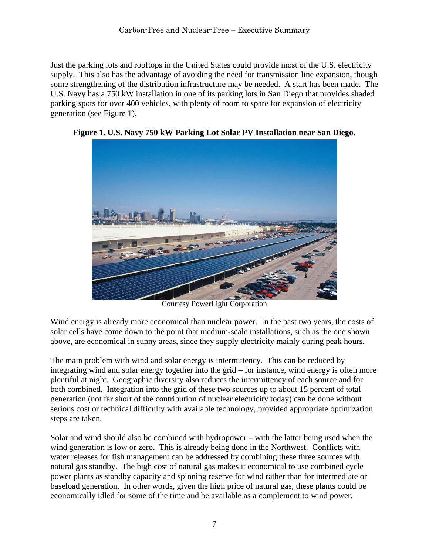Just the parking lots and rooftops in the United States could provide most of the U.S. electricity supply. This also has the advantage of avoiding the need for transmission line expansion, though some strengthening of the distribution infrastructure may be needed. A start has been made. The U.S. Navy has a 750 kW installation in one of its parking lots in San Diego that provides shaded parking spots for over 400 vehicles, with plenty of room to spare for expansion of electricity generation (see Figure 1).



**Figure 1. U.S. Navy 750 kW Parking Lot Solar PV Installation near San Diego.**

Courtesy PowerLight Corporation

Wind energy is already more economical than nuclear power. In the past two years, the costs of solar cells have come down to the point that medium-scale installations, such as the one shown above, are economical in sunny areas, since they supply electricity mainly during peak hours.

The main problem with wind and solar energy is intermittency. This can be reduced by integrating wind and solar energy together into the grid – for instance, wind energy is often more plentiful at night. Geographic diversity also reduces the intermittency of each source and for both combined. Integration into the grid of these two sources up to about 15 percent of total generation (not far short of the contribution of nuclear electricity today) can be done without serious cost or technical difficulty with available technology, provided appropriate optimization steps are taken.

Solar and wind should also be combined with hydropower – with the latter being used when the wind generation is low or zero. This is already being done in the Northwest. Conflicts with water releases for fish management can be addressed by combining these three sources with natural gas standby. The high cost of natural gas makes it economical to use combined cycle power plants as standby capacity and spinning reserve for wind rather than for intermediate or baseload generation. In other words, given the high price of natural gas, these plants could be economically idled for some of the time and be available as a complement to wind power.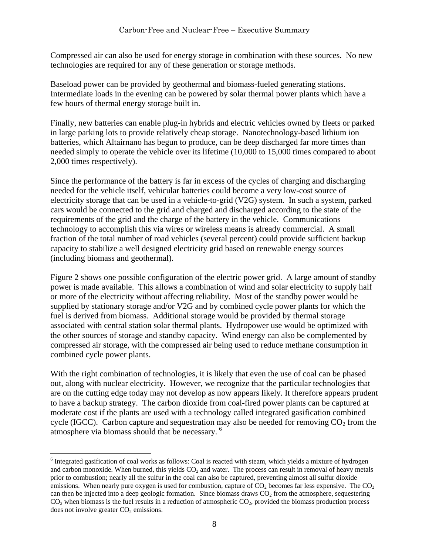<span id="page-7-0"></span>Compressed air can also be used for energy storage in combination with these sources. No new technologies are required for any of these generation or storage methods.

Baseload power can be provided by geothermal and biomass-fueled generating stations. Intermediate loads in the evening can be powered by solar thermal power plants which have a few hours of thermal energy storage built in.

Finally, new batteries can enable plug-in hybrids and electric vehicles owned by fleets or parked in large parking lots to provide relatively cheap storage. Nanotechnology-based lithium ion batteries, which Altairnano has begun to produce, can be deep discharged far more times than needed simply to operate the vehicle over its lifetime (10,000 to 15,000 times compared to about 2,000 times respectively).

Since the performance of the battery is far in excess of the cycles of charging and discharging needed for the vehicle itself, vehicular batteries could become a very low-cost source of electricity storage that can be used in a vehicle-to-grid (V2G) system. In such a system, parked cars would be connected to the grid and charged and discharged according to the state of the requirements of the grid and the charge of the battery in the vehicle. Communications technology to accomplish this via wires or wireless means is already commercial. A small fraction of the total number of road vehicles (several percent) could provide sufficient backup capacity to stabilize a well designed electricity grid based on renewable energy sources (including biomass and geothermal).

Figure 2 shows one possible configuration of the electric power grid. A large amount of standby power is made available. This allows a combination of wind and solar electricity to supply half or more of the electricity without affecting reliability. Most of the standby power would be supplied by stationary storage and/or V2G and by combined cycle power plants for which the fuel is derived from biomass. Additional storage would be provided by thermal storage associated with central station solar thermal plants. Hydropower use would be optimized with the other sources of storage and standby capacity. Wind energy can also be complemented by compressed air storage, with the compressed air being used to reduce methane consumption in combined cycle power plants.

With the right combination of technologies, it is likely that even the use of coal can be phased out, along with nuclear electricity. However, we recognize that the particular technologies that are on the cutting edge today may not develop as now appears likely. It therefore appears prudent to have a backup strategy. The carbon dioxide from coal-fired power plants can be captured at moderate cost if the plants are used with a technology called integrated gasification combined cycle (IGCC). Carbon capture and sequestration may also be needed for removing  $CO<sub>2</sub>$  from the atmosphere via biomass should that be necessary. [6](#page-7-0)

 $\overline{a}$ <sup>6</sup> Integrated gasification of coal works as follows: Coal is reacted with steam, which yields a mixture of hydrogen and carbon monoxide. When burned, this yields  $CO<sub>2</sub>$  and water. The process can result in removal of heavy metals prior to combustion; nearly all the sulfur in the coal can also be captured, preventing almost all sulfur dioxide emissions. When nearly pure oxygen is used for combustion, capture of  $CO<sub>2</sub>$  becomes far less expensive. The  $CO<sub>2</sub>$ can then be injected into a deep geologic formation. Since biomass draws  $CO<sub>2</sub>$  from the atmosphere, sequestering  $CO<sub>2</sub>$  when biomass is the fuel results in a reduction of atmospheric  $CO<sub>2</sub>$ , provided the biomass production process does not involve greater  $CO<sub>2</sub>$  emissions.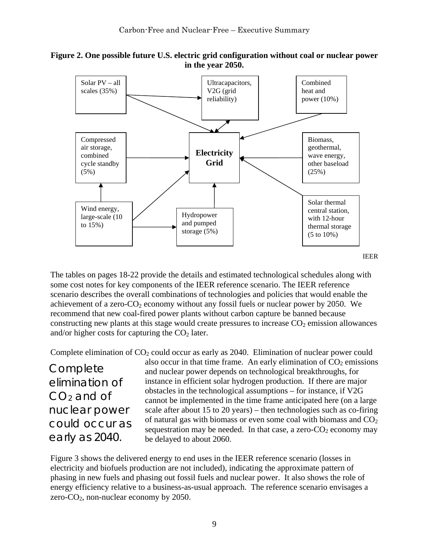



IEER

The tables on pages 18-22 provide the details and estimated technological schedules along with some cost notes for key components of the IEER reference scenario. The IEER reference scenario describes the overall combinations of technologies and policies that would enable the achievement of a zero- $CO_2$  economy without any fossil fuels or nuclear power by 2050. We recommend that new coal-fired power plants without carbon capture be banned because constructing new plants at this stage would create pressures to increase  $CO<sub>2</sub>$  emission allowances and/or higher costs for capturing the  $CO<sub>2</sub>$  later.

Complete elimination of  $CO<sub>2</sub>$  could occur as early as 2040. Elimination of nuclear power could

Complete elimination of  $CO<sub>2</sub>$  and of nuclear power could occur as early as 2040.

also occur in that time frame. An early elimination of  $CO<sub>2</sub>$  emissions and nuclear power depends on technological breakthroughs, for instance in efficient solar hydrogen production. If there are major obstacles in the technological assumptions – for instance, if V2G cannot be implemented in the time frame anticipated here (on a large scale after about 15 to 20 years) – then technologies such as co-firing of natural gas with biomass or even some coal with biomass and  $CO<sub>2</sub>$ sequestration may be needed. In that case, a zero- $CO<sub>2</sub>$  economy may be delayed to about 2060.

Figure 3 shows the delivered energy to end uses in the IEER reference scenario (losses in electricity and biofuels production are not included), indicating the approximate pattern of phasing in new fuels and phasing out fossil fuels and nuclear power. It also shows the role of energy efficiency relative to a business-as-usual approach. The reference scenario envisages a zero- $CO<sub>2</sub>$ , non-nuclear economy by 2050.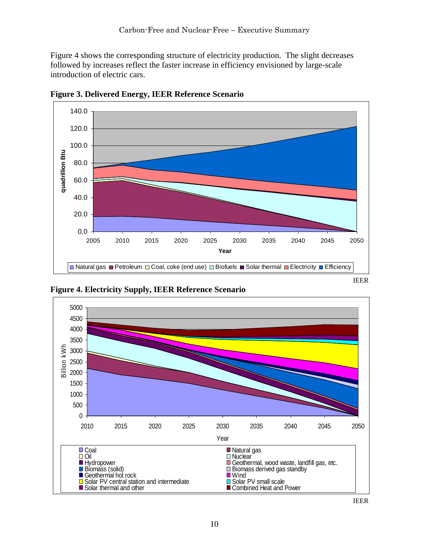Figure 4 shows the corresponding structure of electricity production. The slight decreases followed by increases reflect the faster increase in efficiency envisioned by large-scale introduction of electric cars.

![](_page_9_Figure_2.jpeg)

**Figure 3. Delivered Energy, IEER Reference Scenario** 

![](_page_9_Figure_4.jpeg)

**Figure 4. Electricity Supply, IEER Reference Scenario** 

IEER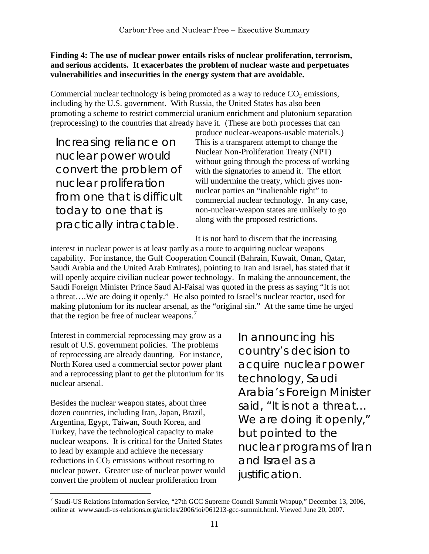#### <span id="page-10-0"></span>**Finding 4: The use of nuclear power entails risks of nuclear proliferation, terrorism, and serious accidents. It exacerbates the problem of nuclear waste and perpetuates vulnerabilities and insecurities in the energy system that are avoidable.**

Commercial nuclear technology is being promoted as a way to reduce  $CO<sub>2</sub>$  emissions, including by the U.S. government. With Russia, the United States has also been promoting a scheme to restrict commercial uranium enrichment and plutonium separation (reprocessing) to the countries that already have it. (These are both processes that can

Increasing reliance on nuclear power would convert the problem of nuclear proliferation from one that is difficult today to one that is practically intractable.

produce nuclear-weapons-usable materials.) This is a transparent attempt to change the Nuclear Non-Proliferation Treaty (NPT) without going through the process of working with the signatories to amend it. The effort will undermine the treaty, which gives nonnuclear parties an "inalienable right" to commercial nuclear technology. In any case, non-nuclear-weapon states are unlikely to go along with the proposed restrictions.

It is not hard to discern that the increasing

interest in nuclear power is at least partly as a route to acquiring nuclear weapons capability. For instance, the Gulf Cooperation Council (Bahrain, Kuwait, Oman, Qatar, Saudi Arabia and the United Arab Emirates), pointing to Iran and Israel, has stated that it will openly acquire civilian nuclear power technology. In making the announcement, the Saudi Foreign Minister Prince Saud Al-Faisal was quoted in the press as saying "It is not a threat….We are doing it openly." He also pointed to Israel's nuclear reactor, used for making plutonium for its nuclear arsenal, as the "original sin." At the same time he urged that the region be free of nuclear weapons.<sup>[7](#page-10-0)</sup>

Interest in commercial reprocessing may grow as a result of U.S. government policies. The problems of reprocessing are already daunting. For instance, North Korea used a commercial sector power plant and a reprocessing plant to get the plutonium for its nuclear arsenal.

Besides the nuclear weapon states, about three dozen countries, including Iran, Japan, Brazil, Argentina, Egypt, Taiwan, South Korea, and Turkey, have the technological capacity to make nuclear weapons. It is critical for the United States to lead by example and achieve the necessary reductions in  $CO<sub>2</sub>$  emissions without resorting to nuclear power. Greater use of nuclear power would convert the problem of nuclear proliferation from

 $\overline{a}$ 

In announcing his country's decision to acquire nuclear power technology, Saudi Arabia's Foreign Minister said, "It is not a threat… We are doing it openly," but pointed to the nuclear programs of Iran and Israel as a justification.

<sup>&</sup>lt;sup>7</sup> Saudi-US Relations Information Service, "27th GCC Supreme Council Summit Wrapup," December 13, 2006, online at www.saudi-us-relations.org/articles/2006/ioi/061213-gcc-summit.html. Viewed June 20, 2007.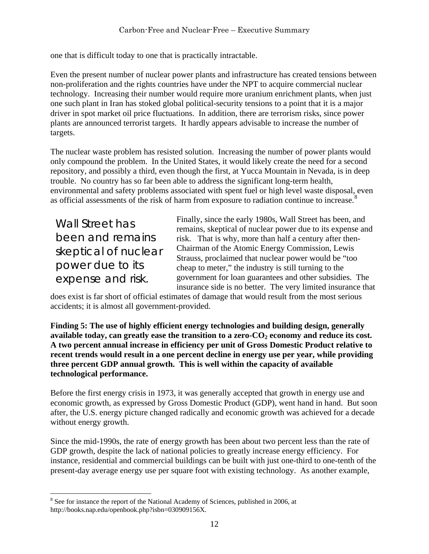<span id="page-11-0"></span>one that is difficult today to one that is practically intractable.

Even the present number of nuclear power plants and infrastructure has created tensions between non-proliferation and the rights countries have under the NPT to acquire commercial nuclear technology. Increasing their number would require more uranium enrichment plants, when just one such plant in Iran has stoked global political-security tensions to a point that it is a major driver in spot market oil price fluctuations. In addition, there are terrorism risks, since power plants are announced terrorist targets. It hardly appears advisable to increase the number of targets.

The nuclear waste problem has resisted solution. Increasing the number of power plants would only compound the problem. In the United States, it would likely create the need for a second repository, and possibly a third, even though the first, at Yucca Mountain in Nevada, is in deep trouble. No country has so far been able to address the significant long-term health, environmental and safety problems associated with spent fuel or high level waste disposal, even as official assessments of the risk of harm from exposure to radiation continue to increase.<sup>[8](#page-11-0)</sup>

Wall Street has been and remains skeptical of nuclear power due to its expense and risk.

 $\overline{a}$ 

Finally, since the early 1980s, Wall Street has been, and remains, skeptical of nuclear power due to its expense and risk. That is why, more than half a century after then-Chairman of the Atomic Energy Commission, Lewis Strauss, proclaimed that nuclear power would be "too cheap to meter," the industry is still turning to the government for loan guarantees and other subsidies. The insurance side is no better. The very limited insurance that

does exist is far short of official estimates of damage that would result from the most serious accidents; it is almost all government-provided.

**Finding 5: The use of highly efficient energy technologies and building design, generally**  available today, can greatly ease the transition to a zero- $CO<sub>2</sub>$  economy and reduce its cost. **A two percent annual increase in efficiency per unit of Gross Domestic Product relative to recent trends would result in a one percent decline in energy use per year, while providing three percent GDP annual growth. This is well within the capacity of available technological performance.** 

Before the first energy crisis in 1973, it was generally accepted that growth in energy use and economic growth, as expressed by Gross Domestic Product (GDP), went hand in hand. But soon after, the U.S. energy picture changed radically and economic growth was achieved for a decade without energy growth.

Since the mid-1990s, the rate of energy growth has been about two percent less than the rate of GDP growth, despite the lack of national policies to greatly increase energy efficiency. For instance, residential and commercial buildings can be built with just one-third to one-tenth of the present-day average energy use per square foot with existing technology. As another example,

<sup>&</sup>lt;sup>8</sup> See for instance the report of the National Academy of Sciences, published in 2006, at http://books.nap.edu/openbook.php?isbn=030909156X.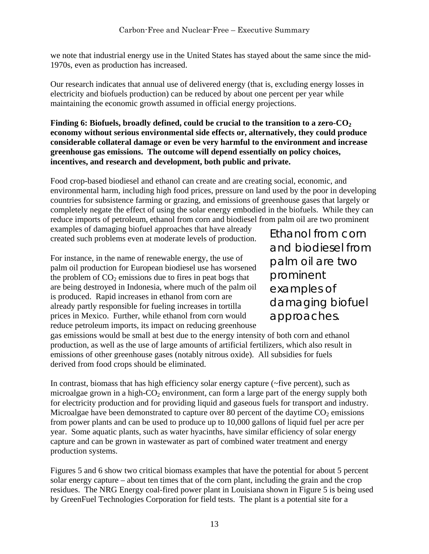we note that industrial energy use in the United States has stayed about the same since the mid-1970s, even as production has increased.

Our research indicates that annual use of delivered energy (that is, excluding energy losses in electricity and biofuels production) can be reduced by about one percent per year while maintaining the economic growth assumed in official energy projections.

#### **Finding 6: Biofuels, broadly defined, could be crucial to the transition to a zero-CO2 economy without serious environmental side effects or, alternatively, they could produce considerable collateral damage or even be very harmful to the environment and increase greenhouse gas emissions. The outcome will depend essentially on policy choices, incentives, and research and development, both public and private.**

Food crop-based biodiesel and ethanol can create and are creating social, economic, and environmental harm, including high food prices, pressure on land used by the poor in developing countries for subsistence farming or grazing, and emissions of greenhouse gases that largely or completely negate the effect of using the solar energy embodied in the biofuels. While they can reduce imports of petroleum, ethanol from corn and biodiesel from palm oil are two prominent

examples of damaging biofuel approaches that have already created such problems even at moderate levels of production.

For instance, in the name of renewable energy, the use of palm oil production for European biodiesel use has worsened the problem of  $CO<sub>2</sub>$  emissions due to fires in peat bogs that are being destroyed in Indonesia, where much of the palm oil is produced. Rapid increases in ethanol from corn are already partly responsible for fueling increases in tortilla prices in Mexico. Further, while ethanol from corn would reduce petroleum imports, its impact on reducing greenhouse

Ethanol from corn and biodiesel from palm oil are two prominent examples of damaging biofuel approaches.

gas emissions would be small at best due to the energy intensity of both corn and ethanol production, as well as the use of large amounts of artificial fertilizers, which also result in emissions of other greenhouse gases (notably nitrous oxide). All subsidies for fuels derived from food crops should be eliminated.

In contrast, biomass that has high efficiency solar energy capture (~five percent), such as microalgae grown in a high- $CO<sub>2</sub>$  environment, can form a large part of the energy supply both for electricity production and for providing liquid and gaseous fuels for transport and industry. Microalgae have been demonstrated to capture over 80 percent of the daytime  $CO<sub>2</sub>$  emissions from power plants and can be used to produce up to 10,000 gallons of liquid fuel per acre per year. Some aquatic plants, such as water hyacinths, have similar efficiency of solar energy capture and can be grown in wastewater as part of combined water treatment and energy production systems.

Figures 5 and 6 show two critical biomass examples that have the potential for about 5 percent solar energy capture – about ten times that of the corn plant, including the grain and the crop residues. The NRG Energy coal-fired power plant in Louisiana shown in Figure 5 is being used by GreenFuel Technologies Corporation for field tests. The plant is a potential site for a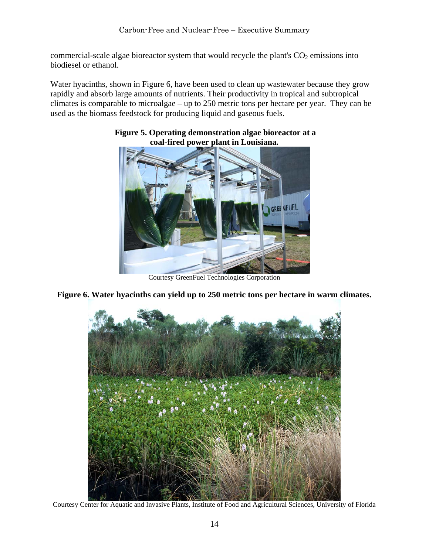commercial-scale algae bioreactor system that would recycle the plant's  $CO<sub>2</sub>$  emissions into biodiesel or ethanol.

Water hyacinths, shown in Figure 6, have been used to clean up wastewater because they grow rapidly and absorb large amounts of nutrients. Their productivity in tropical and subtropical climates is comparable to microalgae – up to 250 metric tons per hectare per year. They can be used as the biomass feedstock for producing liquid and gaseous fuels.

![](_page_13_Picture_3.jpeg)

#### **Figure 5. Operating demonstration algae bioreactor at a coal-fired power plant in Louisiana.**

Courtesy GreenFuel Technologies Corporation

**Figure 6. Water hyacinths can yield up to 250 metric tons per hectare in warm climates.**

![](_page_13_Picture_7.jpeg)

Courtesy Center for Aquatic and Invasive Plants, Institute of Food and Agricultural Sciences, University of Florida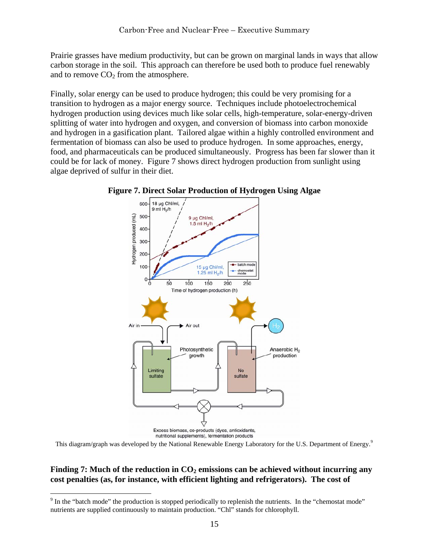<span id="page-14-0"></span>Prairie grasses have medium productivity, but can be grown on marginal lands in ways that allow carbon storage in the soil. This approach can therefore be used both to produce fuel renewably and to remove  $CO<sub>2</sub>$  from the atmosphere.

Finally, solar energy can be used to produce hydrogen; this could be very promising for a transition to hydrogen as a major energy source. Techniques include photoelectrochemical hydrogen production using devices much like solar cells, high-temperature, solar-energy-driven splitting of water into hydrogen and oxygen, and conversion of biomass into carbon monoxide and hydrogen in a gasification plant. Tailored algae within a highly controlled environment and fermentation of biomass can also be used to produce hydrogen. In some approaches, energy, food, and pharmaceuticals can be produced simultaneously. Progress has been far slower than it could be for lack of money. Figure 7 shows direct hydrogen production from sunlight using algae deprived of sulfur in their diet.

![](_page_14_Figure_3.jpeg)

**Figure 7. Direct Solar Production of Hydrogen Using Algae**

This diagram/graph was developed by the National Renewable Energy Laboratory for the U.S. Department of Energy.<sup>[9](#page-14-0)</sup>

#### Finding 7: Much of the reduction in CO<sub>2</sub> emissions can be achieved without incurring any **cost penalties (as, for instance, with efficient lighting and refrigerators). The cost of**

 $\overline{a}$ 

 $9<sup>9</sup>$  In the "batch mode" the production is stopped periodically to replenish the nutrients. In the "chemostat mode" nutrients are supplied continuously to maintain production. "Chl" stands for chlorophyll.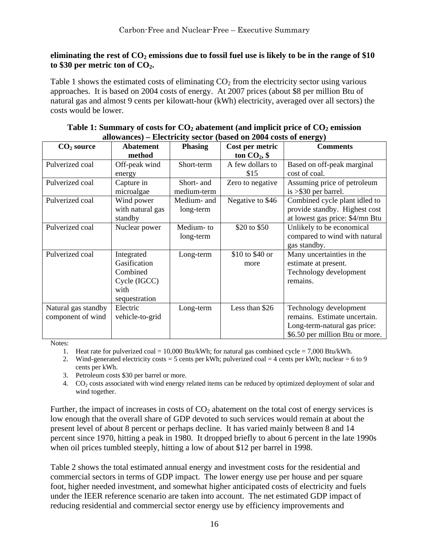#### **eliminating the rest of CO2 emissions due to fossil fuel use is likely to be in the range of \$10 to \$30 per metric ton of CO2.**

Table 1 shows the estimated costs of eliminating  $CO<sub>2</sub>$  from the electricity sector using various approaches. It is based on 2004 costs of energy. At 2007 prices (about \$8 per million Btu of natural gas and almost 9 cents per kilowatt-hour (kWh) electricity, averaged over all sectors) the costs would be lower.

| $\frac{1}{2}$ allowances) – Electricity sector (based on $200 + \cos 60$ or electry) |                  |                |                  |                                 |  |  |
|--------------------------------------------------------------------------------------|------------------|----------------|------------------|---------------------------------|--|--|
| CO <sub>2</sub> source                                                               | <b>Abatement</b> | <b>Phasing</b> | Cost per metric  | <b>Comments</b>                 |  |  |
|                                                                                      | method           |                | ton $CO2$ , \$   |                                 |  |  |
| Pulverized coal                                                                      | Off-peak wind    | Short-term     | A few dollars to | Based on off-peak marginal      |  |  |
|                                                                                      | energy           |                | \$15             | cost of coal.                   |  |  |
| Pulverized coal                                                                      | Capture in       | Short- and     | Zero to negative | Assuming price of petroleum     |  |  |
|                                                                                      | microalgae       | medium-term    |                  | is $>$ \$30 per barrel.         |  |  |
| Pulverized coal                                                                      | Wind power       | Medium- and    | Negative to \$46 | Combined cycle plant idled to   |  |  |
|                                                                                      | with natural gas | long-term      |                  | provide standby. Highest cost   |  |  |
|                                                                                      | standby          |                |                  | at lowest gas price: \$4/mn Btu |  |  |
| Pulverized coal                                                                      | Nuclear power    | Medium-to      | \$20 to \$50     | Unlikely to be economical       |  |  |
|                                                                                      |                  | long-term      |                  | compared to wind with natural   |  |  |
|                                                                                      |                  |                |                  | gas standby.                    |  |  |
| Pulverized coal                                                                      | Integrated       | Long-term      | \$10 to \$40 or  | Many uncertainties in the       |  |  |
|                                                                                      | Gasification     |                | more             | estimate at present.            |  |  |
|                                                                                      | Combined         |                |                  | Technology development          |  |  |
|                                                                                      | Cycle (IGCC)     |                |                  | remains.                        |  |  |
|                                                                                      | with             |                |                  |                                 |  |  |
|                                                                                      | sequestration    |                |                  |                                 |  |  |
| Natural gas standby                                                                  | Electric         | Long-term      | Less than \$26   | Technology development          |  |  |
| component of wind                                                                    | vehicle-to-grid  |                |                  | remains. Estimate uncertain.    |  |  |
|                                                                                      |                  |                |                  | Long-term-natural gas price:    |  |  |
|                                                                                      |                  |                |                  | \$6.50 per million Btu or more. |  |  |

| Table 1: Summary of costs for $CO_2$ abatement (and implicit price of $CO_2$ emission |
|---------------------------------------------------------------------------------------|
| allowances) – Electricity sector (based on 2004 costs of energy)                      |

Notes:

1. Heat rate for pulverized coal =  $10,000$  Btu/kWh; for natural gas combined cycle = 7,000 Btu/kWh.

2. Wind-generated electricity costs = 5 cents per kWh; pulverized coal = 4 cents per kWh; nuclear = 6 to 9 cents per kWh.

3. Petroleum costs \$30 per barrel or more.

4.  $CO<sub>2</sub> \cos{ts}$  associated with wind energy related items can be reduced by optimized deployment of solar and wind together.

Further, the impact of increases in costs of  $CO<sub>2</sub>$  abatement on the total cost of energy services is low enough that the overall share of GDP devoted to such services would remain at about the present level of about 8 percent or perhaps decline. It has varied mainly between 8 and 14 percent since 1970, hitting a peak in 1980. It dropped briefly to about 6 percent in the late 1990s when oil prices tumbled steeply, hitting a low of about \$12 per barrel in 1998.

Table 2 shows the total estimated annual energy and investment costs for the residential and commercial sectors in terms of GDP impact. The lower energy use per house and per square foot, higher needed investment, and somewhat higher anticipated costs of electricity and fuels under the IEER reference scenario are taken into account. The net estimated GDP impact of reducing residential and commercial sector energy use by efficiency improvements and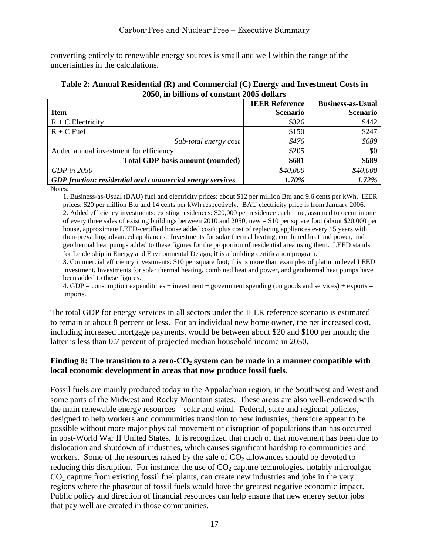converting entirely to renewable energy sources is small and well within the range of the uncertainties in the calculations.

| Table 2: Annual Residential (R) and Commercial (C) Energy and Investment Costs in |
|-----------------------------------------------------------------------------------|
| 2050, in billions of constant 2005 dollars                                        |

|                                                                 | <b>IEER Reference</b> | <b>Business-as-Usual</b> |
|-----------------------------------------------------------------|-----------------------|--------------------------|
| <b>Item</b>                                                     | <b>Scenario</b>       | <b>Scenario</b>          |
| $R + C$ Electricity                                             | \$326                 | \$442                    |
| $R + C$ Fuel                                                    | \$150                 | \$247                    |
| Sub-total energy cost                                           | \$476                 | \$689                    |
| Added annual investment for efficiency                          | \$205                 | \$0                      |
| <b>Total GDP-basis amount (rounded)</b>                         | \$681                 | \$689                    |
| GDP in 2050                                                     | \$40,000              | \$40,000                 |
| <b>GDP</b> fraction: residential and commercial energy services | 1.70%                 | 1.72%                    |

Notes:

1. Business-as-Usual (BAU) fuel and electricity prices: about \$12 per million Btu and 9.6 cents per kWh. IEER prices: \$20 per million Btu and 14 cents per kWh respectively. BAU electricity price is from January 2006. 2. Added efficiency investments: existing residences: \$20,000 per residence each time, assumed to occur in one of every three sales of existing buildings between 2010 and 2050; new = \$10 per square foot (about \$20,000 per house, approximate LEED-certified house added cost); plus cost of replacing appliances every 15 years with then-prevailing advanced appliances. Investments for solar thermal heating, combined heat and power, and geothermal heat pumps added to these figures for the proportion of residential area using them. LEED stands for Leadership in Energy and Environmental Design; it is a building certification program.

3. Commercial efficiency investments: \$10 per square foot; this is more than examples of platinum level LEED investment. Investments for solar thermal heating, combined heat and power, and geothermal heat pumps have been added to these figures.

4. GDP = consumption expenditures + investment + government spending (on goods and services) + exports – imports.

The total GDP for energy services in all sectors under the IEER reference scenario is estimated to remain at about 8 percent or less. For an individual new home owner, the net increased cost, including increased mortgage payments, would be between about \$20 and \$100 per month; the latter is less than 0.7 percent of projected median household income in 2050.

#### Finding 8: The transition to a zero-CO<sub>2</sub> system can be made in a manner compatible with **local economic development in areas that now produce fossil fuels.**

Fossil fuels are mainly produced today in the Appalachian region, in the Southwest and West and some parts of the Midwest and Rocky Mountain states. These areas are also well-endowed with the main renewable energy resources – solar and wind. Federal, state and regional policies, designed to help workers and communities transition to new industries, therefore appear to be possible without more major physical movement or disruption of populations than has occurred in post-World War II United States. It is recognized that much of that movement has been due to dislocation and shutdown of industries, which causes significant hardship to communities and workers. Some of the resources raised by the sale of  $CO<sub>2</sub>$  allowances should be devoted to reducing this disruption. For instance, the use of  $CO<sub>2</sub>$  capture technologies, notably microalgae  $CO<sub>2</sub>$  capture from existing fossil fuel plants, can create new industries and jobs in the very regions where the phaseout of fossil fuels would have the greatest negative economic impact. Public policy and direction of financial resources can help ensure that new energy sector jobs that pay well are created in those communities.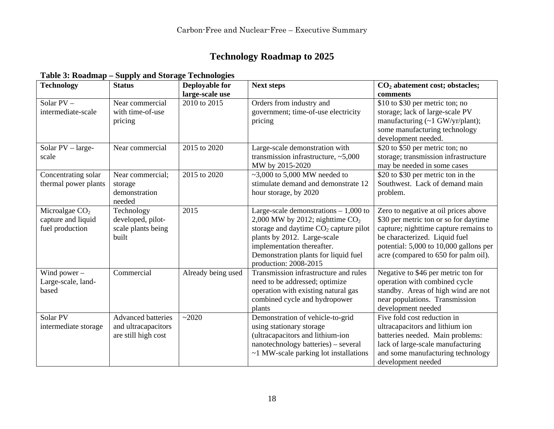## **Technology Roadmap to 2025**

#### **Table 3: Roadmap – Supply and Storage Technologies**

| <b>Technology</b>                                                   | <b>Status</b>                                                           | Deployable for     | <b>Next steps</b>                                                                                                                                                                                                                                    | CO <sub>2</sub> abatement cost; obstacles;                                                                                                                                                                                                |
|---------------------------------------------------------------------|-------------------------------------------------------------------------|--------------------|------------------------------------------------------------------------------------------------------------------------------------------------------------------------------------------------------------------------------------------------------|-------------------------------------------------------------------------------------------------------------------------------------------------------------------------------------------------------------------------------------------|
|                                                                     |                                                                         | large-scale use    |                                                                                                                                                                                                                                                      | comments                                                                                                                                                                                                                                  |
| Solar PV -<br>intermediate-scale                                    | Near commercial<br>with time-of-use<br>pricing                          | 2010 to 2015       | Orders from industry and<br>government; time-of-use electricity<br>pricing                                                                                                                                                                           | \$10 to \$30 per metric ton; no<br>storage; lack of large-scale PV<br>manufacturing $\left(\sim\right)$ GW/yr/plant);<br>some manufacturing technology<br>development needed.                                                             |
| Solar $PV - large$<br>scale                                         | Near commercial                                                         | 2015 to 2020       | Large-scale demonstration with<br>transmission infrastructure, $~5,000$<br>MW by 2015-2020                                                                                                                                                           | \$20 to \$50 per metric ton; no<br>storage; transmission infrastructure<br>may be needed in some cases                                                                                                                                    |
| Concentrating solar<br>thermal power plants                         | Near commercial;<br>storage<br>demonstration<br>needed                  | 2015 to 2020       | $\approx$ 3,000 to 5,000 MW needed to<br>stimulate demand and demonstrate 12<br>hour storage, by 2020                                                                                                                                                | \$20 to \$30 per metric ton in the<br>Southwest. Lack of demand main<br>problem.                                                                                                                                                          |
| Microalgae CO <sub>2</sub><br>capture and liquid<br>fuel production | Technology<br>developed, pilot-<br>scale plants being<br>built          | 2015               | Large-scale demonstrations $-1,000$ to<br>2,000 MW by 2012; nighttime $CO2$<br>storage and daytime $CO2$ capture pilot<br>plants by 2012. Large-scale<br>implementation thereafter.<br>Demonstration plants for liquid fuel<br>production: 2008-2015 | Zero to negative at oil prices above<br>\$30 per metric ton or so for daytime<br>capture; nighttime capture remains to<br>be characterized. Liquid fuel<br>potential: 5,000 to 10,000 gallons per<br>acre (compared to 650 for palm oil). |
| Wind power $-$<br>Large-scale, land-<br>based                       | Commercial                                                              | Already being used | Transmission infrastructure and rules<br>need to be addressed; optimize<br>operation with existing natural gas<br>combined cycle and hydropower<br>plants                                                                                            | Negative to \$46 per metric ton for<br>operation with combined cycle<br>standby. Areas of high wind are not<br>near populations. Transmission<br>development needed                                                                       |
| Solar PV<br>intermediate storage                                    | <b>Advanced batteries</b><br>and ultracapacitors<br>are still high cost | ~2020              | Demonstration of vehicle-to-grid<br>using stationary storage<br>(ultracapacitors and lithium-ion<br>nanotechnology batteries) – several<br>$\sim$ 1 MW-scale parking lot installations                                                               | Five fold cost reduction in<br>ultracapacitors and lithium ion<br>batteries needed. Main problems:<br>lack of large-scale manufacturing<br>and some manufacturing technology<br>development needed                                        |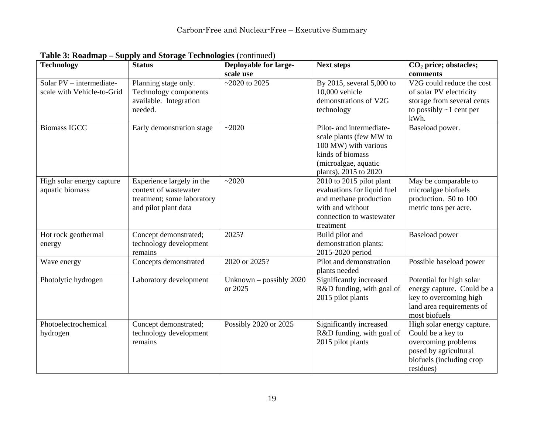| <b>Technology</b>          | <b>Status</b>              | Deployable for large-     | <b>Next steps</b>           | CO <sub>2</sub> price; obstacles; |
|----------------------------|----------------------------|---------------------------|-----------------------------|-----------------------------------|
|                            |                            | scale use                 |                             | comments                          |
| Solar PV - intermediate-   | Planning stage only.       | $\approx$ 2020 to 2025    | By 2015, several 5,000 to   | V2G could reduce the cost         |
| scale with Vehicle-to-Grid | Technology components      |                           | 10,000 vehicle              | of solar PV electricity           |
|                            | available. Integration     |                           | demonstrations of V2G       | storage from several cents        |
|                            | needed.                    |                           | technology                  | to possibly $\sim$ 1 cent per     |
|                            |                            |                           |                             | kWh.                              |
| <b>Biomass IGCC</b>        | Early demonstration stage  | ~2020                     | Pilot- and intermediate-    | Baseload power.                   |
|                            |                            |                           | scale plants (few MW to     |                                   |
|                            |                            |                           | 100 MW) with various        |                                   |
|                            |                            |                           | kinds of biomass            |                                   |
|                            |                            |                           | (microalgae, aquatic        |                                   |
|                            |                            |                           | plants), 2015 to 2020       |                                   |
| High solar energy capture  | Experience largely in the  | ~2020                     | 2010 to 2015 pilot plant    | May be comparable to              |
| aquatic biomass            | context of wastewater      |                           | evaluations for liquid fuel | microalgae biofuels               |
|                            | treatment; some laboratory |                           | and methane production      | production. 50 to 100             |
|                            | and pilot plant data       |                           | with and without            | metric tons per acre.             |
|                            |                            |                           | connection to wastewater    |                                   |
|                            |                            |                           | treatment                   |                                   |
| Hot rock geothermal        | Concept demonstrated;      | 2025?                     | Build pilot and             | <b>Baseload</b> power             |
| energy                     | technology development     |                           | demonstration plants:       |                                   |
|                            | remains                    |                           | 2015-2020 period            |                                   |
| Wave energy                | Concepts demonstrated      | 2020 or 2025?             | Pilot and demonstration     | Possible baseload power           |
|                            |                            |                           | plants needed               |                                   |
| Photolytic hydrogen        | Laboratory development     | Unknown $-$ possibly 2020 | Significantly increased     | Potential for high solar          |
|                            |                            | or 2025                   | R&D funding, with goal of   | energy capture. Could be a        |
|                            |                            |                           | 2015 pilot plants           | key to overcoming high            |
|                            |                            |                           |                             | land area requirements of         |
|                            |                            |                           |                             | most biofuels                     |
| Photoelectrochemical       | Concept demonstrated;      | Possibly 2020 or 2025     | Significantly increased     | High solar energy capture.        |
| hydrogen                   | technology development     |                           | R&D funding, with goal of   | Could be a key to                 |
|                            | remains                    |                           | 2015 pilot plants           | overcoming problems               |
|                            |                            |                           |                             | posed by agricultural             |
|                            |                            |                           |                             | biofuels (including crop          |
|                            |                            |                           |                             | residues)                         |

**Table 3: Roadmap – Supply and Storage Technologies** (continued)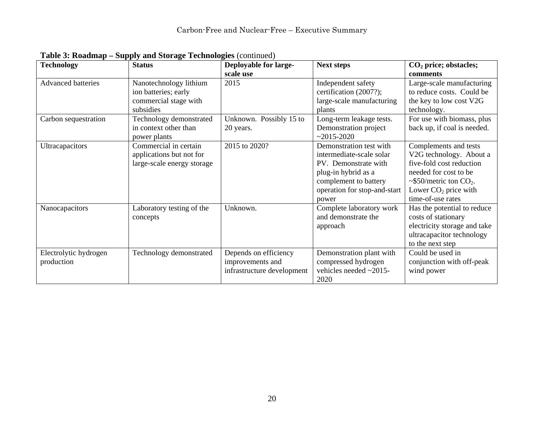| <b>Technology</b>                   | <b>Status</b>                                                                        | Deployable for large-                                                   | <b>Next steps</b>                                                                                                                                                    | $CO2$ price; obstacles;                                                                                                                                                          |
|-------------------------------------|--------------------------------------------------------------------------------------|-------------------------------------------------------------------------|----------------------------------------------------------------------------------------------------------------------------------------------------------------------|----------------------------------------------------------------------------------------------------------------------------------------------------------------------------------|
|                                     |                                                                                      | scale use                                                               |                                                                                                                                                                      | comments                                                                                                                                                                         |
| <b>Advanced batteries</b>           | Nanotechnology lithium<br>ion batteries; early<br>commercial stage with<br>subsidies | 2015                                                                    | Independent safety<br>certification (2007?);<br>large-scale manufacturing<br>plants                                                                                  | Large-scale manufacturing<br>to reduce costs. Could be<br>the key to low cost V2G<br>technology.                                                                                 |
| Carbon sequestration                | Technology demonstrated<br>in context other than<br>power plants                     | Unknown. Possibly 15 to<br>20 years.                                    | Long-term leakage tests.<br>Demonstration project<br>$~2015 - 2020$                                                                                                  | For use with biomass, plus<br>back up, if coal is needed.                                                                                                                        |
| Ultracapacitors                     | Commercial in certain<br>applications but not for<br>large-scale energy storage      | 2015 to 2020?                                                           | Demonstration test with<br>intermediate-scale solar<br>PV. Demonstrate with<br>plug-in hybrid as a<br>complement to battery<br>operation for stop-and-start<br>power | Complements and tests<br>V2G technology. About a<br>five-fold cost reduction<br>needed for cost to be<br>~\$50/metric ton $CO2$ .<br>Lower $CO2$ price with<br>time-of-use rates |
| Nanocapacitors                      | Laboratory testing of the<br>concepts                                                | Unknown.                                                                | Complete laboratory work<br>and demonstrate the<br>approach                                                                                                          | Has the potential to reduce<br>costs of stationary<br>electricity storage and take<br>ultracapacitor technology<br>to the next step                                              |
| Electrolytic hydrogen<br>production | Technology demonstrated                                                              | Depends on efficiency<br>improvements and<br>infrastructure development | Demonstration plant with<br>compressed hydrogen<br>vehicles needed $\sim$ 2015-<br>2020                                                                              | Could be used in<br>conjunction with off-peak<br>wind power                                                                                                                      |

**Table 3: Roadmap – Supply and Storage Technologies** (continued)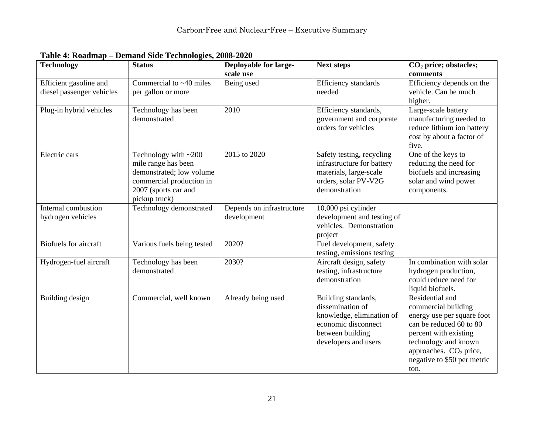| <b>Technology</b>            | <b>Status</b>                         | Deployable for large-     | <b>Next steps</b>          | $CO2$ price; obstacles;     |
|------------------------------|---------------------------------------|---------------------------|----------------------------|-----------------------------|
|                              |                                       | scale use                 |                            | comments                    |
| Efficient gasoline and       | Commercial to $~40$ miles             | Being used                | Efficiency standards       | Efficiency depends on the   |
| diesel passenger vehicles    | per gallon or more                    |                           | needed                     | vehicle. Can be much        |
|                              |                                       |                           |                            | higher.                     |
| Plug-in hybrid vehicles      | Technology has been                   | 2010                      | Efficiency standards,      | Large-scale battery         |
|                              | demonstrated                          |                           | government and corporate   | manufacturing needed to     |
|                              |                                       |                           | orders for vehicles        | reduce lithium ion battery  |
|                              |                                       |                           |                            | cost by about a factor of   |
|                              |                                       |                           |                            | five.                       |
| Electric cars                | Technology with ~200                  | 2015 to 2020              | Safety testing, recycling  | One of the keys to          |
|                              | mile range has been                   |                           | infrastructure for battery | reducing the need for       |
|                              | demonstrated; low volume              |                           | materials, large-scale     | biofuels and increasing     |
|                              | commercial production in              |                           | orders, solar PV-V2G       | solar and wind power        |
|                              | 2007 (sports car and<br>pickup truck) |                           | demonstration              | components.                 |
| Internal combustion          | Technology demonstrated               | Depends on infrastructure | 10,000 psi cylinder        |                             |
| hydrogen vehicles            |                                       | development               | development and testing of |                             |
|                              |                                       |                           | vehicles. Demonstration    |                             |
|                              |                                       |                           | project                    |                             |
| <b>Biofuels</b> for aircraft | Various fuels being tested            | 2020?                     | Fuel development, safety   |                             |
|                              |                                       |                           | testing, emissions testing |                             |
| Hydrogen-fuel aircraft       | Technology has been                   | 2030?                     | Aircraft design, safety    | In combination with solar   |
|                              | demonstrated                          |                           | testing, infrastructure    | hydrogen production,        |
|                              |                                       |                           | demonstration              | could reduce need for       |
|                              |                                       |                           |                            | liquid biofuels.            |
| Building design              | Commercial, well known                | Already being used        | Building standards,        | Residential and             |
|                              |                                       |                           | dissemination of           | commercial building         |
|                              |                                       |                           | knowledge, elimination of  | energy use per square foot  |
|                              |                                       |                           | economic disconnect        | can be reduced 60 to 80     |
|                              |                                       |                           | between building           | percent with existing       |
|                              |                                       |                           | developers and users       | technology and known        |
|                              |                                       |                           |                            | approaches. $CO2$ price,    |
|                              |                                       |                           |                            | negative to \$50 per metric |
|                              |                                       |                           |                            | ton.                        |

**Table 4: Roadmap – Demand Side Technologies, 2008-2020**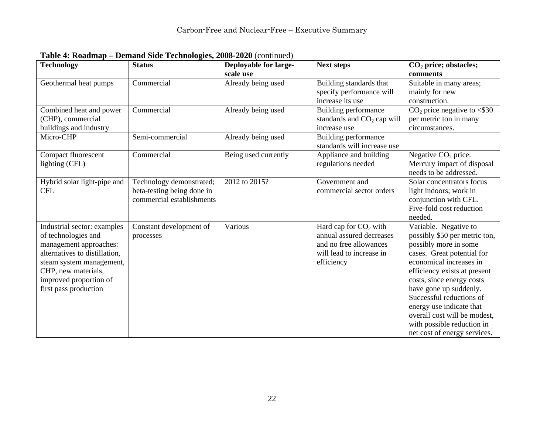| <b>Technology</b>             | <b>Status</b>              | Deployable for large- | <b>Next steps</b>            | $CO2$ price; obstacles;         |
|-------------------------------|----------------------------|-----------------------|------------------------------|---------------------------------|
|                               |                            | scale use             |                              | comments                        |
| Geothermal heat pumps         | Commercial                 | Already being used    | Building standards that      | Suitable in many areas;         |
|                               |                            |                       | specify performance will     | mainly for new                  |
|                               |                            |                       | increase its use             | construction.                   |
| Combined heat and power       | Commercial                 | Already being used    | Building performance         | $CO2$ price negative to <\$30   |
| (CHP), commercial             |                            |                       | standards and $CO2$ cap will | per metric ton in many          |
| buildings and industry        |                            |                       | increase use                 | circumstances.                  |
| Micro-CHP                     | Semi-commercial            | Already being used    | Building performance         |                                 |
|                               |                            |                       | standards will increase use  |                                 |
| Compact fluorescent           | Commercial                 | Being used currently  | Appliance and building       | Negative CO <sub>2</sub> price. |
| lighting (CFL)                |                            |                       | regulations needed           | Mercury impact of disposal      |
|                               |                            |                       |                              | needs to be addressed.          |
| Hybrid solar light-pipe and   | Technology demonstrated;   | 2012 to 2015?         | Government and               | Solar concentrators focus       |
| <b>CFL</b>                    | beta-testing being done in |                       | commercial sector orders     | light indoors; work in          |
|                               | commercial establishments  |                       |                              | conjunction with CFL.           |
|                               |                            |                       |                              | Five-fold cost reduction        |
|                               |                            |                       |                              | needed.                         |
| Industrial sector: examples   | Constant development of    | Various               | Hard cap for $CO2$ with      | Variable. Negative to           |
| of technologies and           | processes                  |                       | annual assured decreases     | possibly \$50 per metric ton,   |
| management approaches:        |                            |                       | and no free allowances       | possibly more in some           |
| alternatives to distillation, |                            |                       | will lead to increase in     | cases. Great potential for      |
| steam system management,      |                            |                       | efficiency                   | economical increases in         |
| CHP, new materials,           |                            |                       |                              | efficiency exists at present    |
| improved proportion of        |                            |                       |                              | costs, since energy costs       |
| first pass production         |                            |                       |                              | have gone up suddenly.          |
|                               |                            |                       |                              | Successful reductions of        |
|                               |                            |                       |                              | energy use indicate that        |
|                               |                            |                       |                              | overall cost will be modest,    |
|                               |                            |                       |                              | with possible reduction in      |
|                               |                            |                       |                              | net cost of energy services.    |

**Table 4: Roadmap – Demand Side Technologies, 2008-2020** (continued)